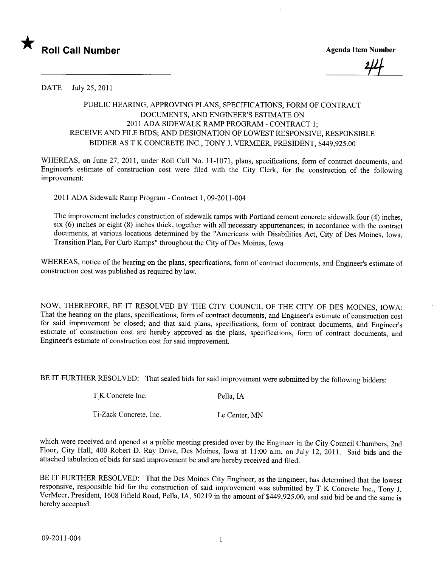

24<br>1

DATE July 25,2011

## PUBLIC HEARING, APPROVING PLANS, SPECIFICATIONS, FORM OF CONTRACT DOCUMENTS, AND ENGINEER'S ESTIMATE ON 2011 ADA SIDEWALK RAMP PROGRAM - CONTRACT 1; RECEIVE AND FILE BIDS; AND DESIGNATION OF LOWEST RESPONSIVE, RESPONSIBLE BIDDER AS T K CONCRETE INC., TONY J. VERMEER, PRESIDENT, \$449,925.00

WHEREAS, on June 27, 2011, under Roll Call No. 11-1071, plans, specifications, form of contract documents, and Engineer's estimate of construction cost were filed with the City Clerk, for the construction of the following improvement:

2011 ADA Sidewalk Ramp Program - Contract 1,09-2011-004

The improvement includes construction of sidewalk ramps with Portland cement concrete sidewalk four (4) inches, six (6) inches or eight (8) inches thick, together with all necessary appurtenances; in accordance with the contract documents, at various locations determined by the "Americans with Disabilities Act, City of Des Moines, Iowa, Transition Plan, For Curb Ramps" throughout the City of Des Moines, Iowa

WHEREAS, notice of the hearing on the plans, specifications, form of contract documents, and Engineer's estimate of construction cost was published as required by law.

NOW, THEREFORE, BE IT RESOLVED BY THE CITY COUNCIL OF THE CITY OF DES MOINES, IOWA: That the hearing on the plans, specifications, form of contract documents, and Engineer's estimate of construction cost for said improvement be closed; and that said plans, specifications, form of contract documents, and Engineer's estimate of construction cost are hereby approved as the plans, specifications, form of contract documents, and Engineer's estimate of construction cost for said improvement.

BE IT FURTHER RESOLVED: That sealed bids for said improvement were submitted by the following bidders:

| T K Concrete Inc. | Pella, IA |
|-------------------|-----------|
|                   |           |

Ti-Zack Concrete, Inc. Le Center, MN

which were received and opened at a public meeting presided over by the Engineer in the City Council Chambers, 2nd Floor, City Hall, 400 Robert D. Ray Drive, Des Moines, Iowa at 11:00 a.m. on July 12, 2011. Said bids and the attached tabulation of bids for said improvement be and are hereby received and fied.

BE IT FURTHER RESOLVED: That the Des Moines City Engineer, as the Engineer, has determined that the lowest responsive, responsible bid for the construction of said improvement was submitted by T K Concrete Inc., Tony J. VerMeer, President, 1608 Fifield Road, Pella, lA, 50219 in the amount of \$449,925.00, and said bid be and the same is hereby accepted.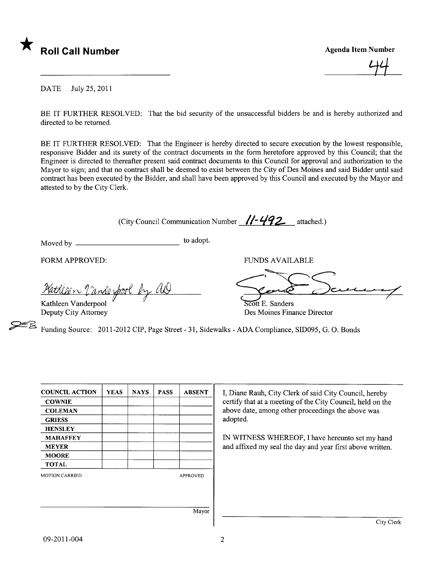

 $\perp$ 

DATE July 25,2011

BE IT FURTHER RESOLVED: That the bid security of the unsuccessful bidders be and is hereby authorized and directed to be returned.

BE IT FURTHER RESOLVED: That the Engineer is hereby directed to secure execution by the lowest responsible, responsive Bidder and its surety of the contract documents in the form heretofore approved by this Council; that the Engineer is directed to thereafter present said contract documents to this Council for approval and authorization to the Mayor to sign; and that no contract shall be deemed to exist between the City of Des Moines and said Bidder until said contract has been executed by the Bidder, and shall have been approved by this Council and executed by the Mayor and attested to by the City Clerk.

(City Council Communication Number  $\sqrt{1-492}$  attached.)

Moved by to adopt.

Kathleen Vanderpool Deputy City Attorney

FUNDS AVAILABLE<br>Patrillen l'anderpool by and

Des Moines Finance Director

Funding Source: 2011-2012 CIP, Page Street - 31, Sidewalks - ADA Compliance, SID095, G. O. Bonds

| <b>COUNCIL ACTION</b> | <b>YEAS</b> | <b>NAYS</b> | <b>PASS</b> | <b>ABSENT</b>   | I, Diane Rauh, City Clerk of said City Council, hereby     |
|-----------------------|-------------|-------------|-------------|-----------------|------------------------------------------------------------|
| <b>COWNIE</b>         |             |             |             |                 | certify that at a meeting of the City Council, held on the |
| <b>COLEMAN</b>        |             |             |             |                 | above date, among other proceedings the above was          |
| <b>GRIESS</b>         |             |             |             |                 | adopted.                                                   |
| <b>HENSLEY</b>        |             |             |             |                 |                                                            |
| <b>MAHAFFEY</b>       |             |             |             |                 | IN WITNESS WHEREOF, I have hereunto set my hand            |
| <b>MEYER</b>          |             |             |             |                 | and affixed my seal the day and year first above written.  |
| <b>MOORE</b>          |             |             |             |                 |                                                            |
| <b>TOTAL</b>          |             |             |             |                 |                                                            |
| <b>MOTION CARRIED</b> |             |             |             | <b>APPROVED</b> |                                                            |
|                       |             |             |             | Mayor           |                                                            |